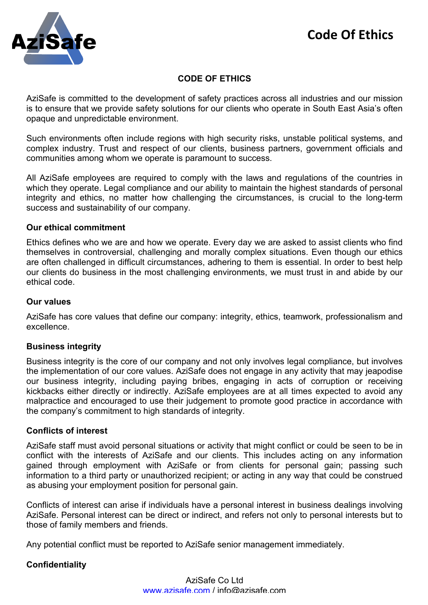

# **CODE OF ETHICS**

AziSafe is committed to the development of safety practices across all industries and our mission is to ensure that we provide safety solutions for our clients who operate in South East Asia's often opaque and unpredictable environment.

Such environments often include regions with high security risks, unstable political systems, and complex industry. Trust and respect of our clients, business partners, government officials and communities among whom we operate is paramount to success.

All AziSafe employees are required to comply with the laws and regulations of the countries in which they operate. Legal compliance and our ability to maintain the highest standards of personal integrity and ethics, no matter how challenging the circumstances, is crucial to the long-term success and sustainability of our company.

### **Our ethical commitment**

Ethics defines who we are and how we operate. Every day we are asked to assist clients who find themselves in controversial, challenging and morally complex situations. Even though our ethics are often challenged in difficult circumstances, adhering to them is essential. In order to best help our clients do business in the most challenging environments, we must trust in and abide by our ethical code.

## **Our values**

AziSafe has core values that define our company: integrity, ethics, teamwork, professionalism and excellence.

### **Business integrity**

Business integrity is the core of our company and not only involves legal compliance, but involves the implementation of our core values. AziSafe does not engage in any activity that may jeapodise our business integrity, including paying bribes, engaging in acts of corruption or receiving kickbacks either directly or indirectly. AziSafe employees are at all times expected to avoid any malpractice and encouraged to use their judgement to promote good practice in accordance with the company's commitment to high standards of integrity.

### **Conflicts of interest**

AziSafe staff must avoid personal situations or activity that might conflict or could be seen to be in conflict with the interests of AziSafe and our clients. This includes acting on any information gained through employment with AziSafe or from clients for personal gain; passing such information to a third party or unauthorized recipient; or acting in any way that could be construed as abusing your employment position for personal gain.

Conflicts of interest can arise if individuals have a personal interest in business dealings involving AziSafe. Personal interest can be direct or indirect, and refers not only to personal interests but to those of family members and friends.

Any potential conflict must be reported to AziSafe senior management immediately.

## **Confidentiality**